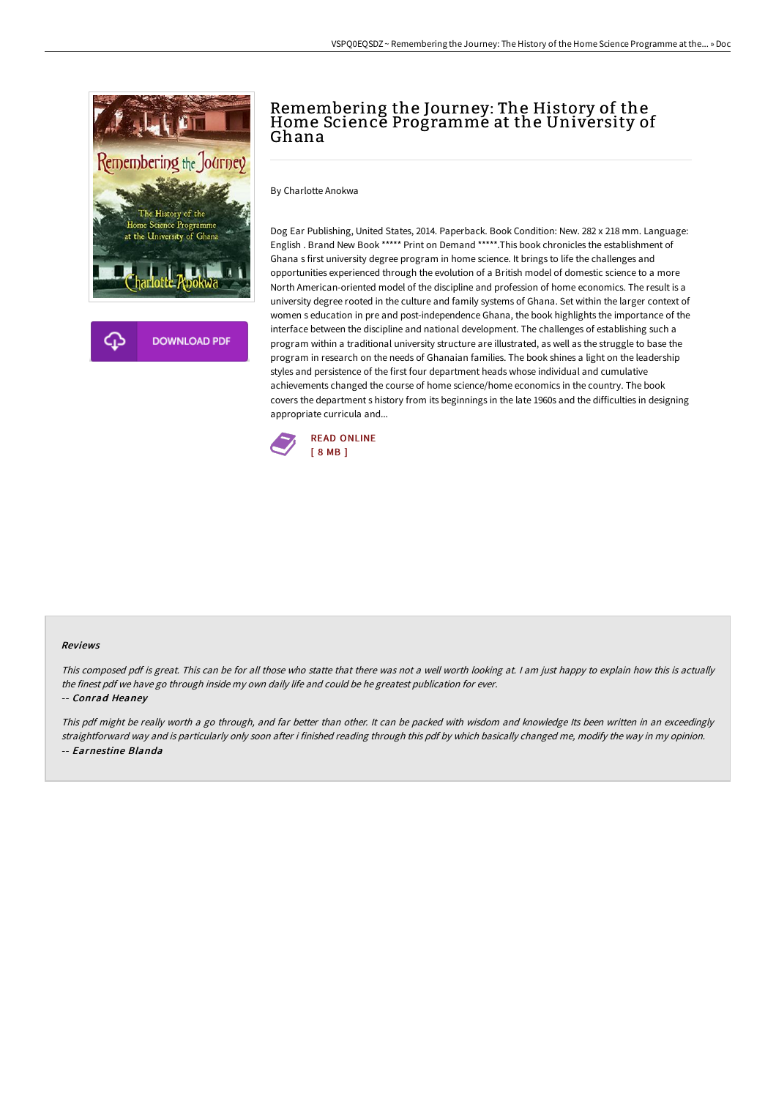

## Remembering the Journey: The History of the Home Science Programme at the University of Ghana

By Charlotte Anokwa

Dog Ear Publishing, United States, 2014. Paperback. Book Condition: New. 282 x 218 mm. Language: English . Brand New Book \*\*\*\*\* Print on Demand \*\*\*\*\*.This book chronicles the establishment of Ghana s first university degree program in home science. It brings to life the challenges and opportunities experienced through the evolution of a British model of domestic science to a more North American-oriented model of the discipline and profession of home economics. The result is a university degree rooted in the culture and family systems of Ghana. Set within the larger context of women s education in pre and post-independence Ghana, the book highlights the importance of the interface between the discipline and national development. The challenges of establishing such a program within a traditional university structure are illustrated, as well as the struggle to base the program in research on the needs of Ghanaian families. The book shines a light on the leadership styles and persistence of the first four department heads whose individual and cumulative achievements changed the course of home science/home economics in the country. The book covers the department s history from its beginnings in the late 1960s and the difficulties in designing appropriate curricula and...



## Reviews

This composed pdf is great. This can be for all those who statte that there was not <sup>a</sup> well worth looking at. <sup>I</sup> am just happy to explain how this is actually the finest pdf we have go through inside my own daily life and could be he greatest publication for ever.

## -- Conrad Heaney

This pdf might be really worth <sup>a</sup> go through, and far better than other. It can be packed with wisdom and knowledge Its been written in an exceedingly straightforward way and is particularly only soon after i finished reading through this pdf by which basically changed me, modify the way in my opinion. -- Earnestine Blanda